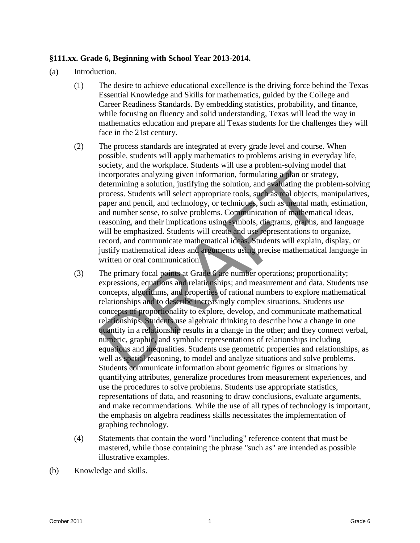## **§111.xx. Grade 6, Beginning with School Year 2013-2014.**

- (a) Introduction.
	- (1) The desire to achieve educational excellence is the driving force behind the Texas Essential Knowledge and Skills for mathematics, guided by the College and Career Readiness Standards. By embedding statistics, probability, and finance, while focusing on fluency and solid understanding, Texas will lead the way in mathematics education and prepare all Texas students for the challenges they will face in the 21st century.
	- (2) The process standards are integrated at every grade level and course. When possible, students will apply mathematics to problems arising in everyday life, society, and the workplace. Students will use a problem-solving model that incorporates analyzing given information, formulating a plan or strategy, determining a solution, justifying the solution, and evaluating the problem-solving process. Students will select appropriate tools, such as real objects, manipulatives, paper and pencil, and technology, or techniques, such as mental math, estimation, and number sense, to solve problems. Communication of mathematical ideas, reasoning, and their implications using symbols, diagrams, graphs, and language will be emphasized. Students will create and use representations to organize, record, and communicate mathematical ideas. Students will explain, display, or justify mathematical ideas and arguments using precise mathematical language in written or oral communication.
- (3) The primary focal points at Grade 6 are number operations; proportionality; expressions, equations and relationships; and measurement and data. Students use concepts, algorithms, and properties of rational numbers to explore mathematical relationships and to describe increasingly complex situations. Students use concepts of proportionality to explore, develop, and communicate mathematical relationships. Students use algebraic thinking to describe how a change in one quantity in a relationship results in a change in the other; and they connect verbal, numeric, graphic, and symbolic representations of relationships including equations and inequalities. Students use geometric properties and relationships, as well as spatial reasoning, to model and analyze situations and solve problems. Students communicate information about geometric figures or situations by quantifying attributes, generalize procedures from measurement experiences, and use the procedures to solve problems. Students use appropriate statistics, representations of data, and reasoning to draw conclusions, evaluate arguments, and make recommendations. While the use of all types of technology is important, the emphasis on algebra readiness skills necessitates the implementation of graphing technology. Exerce and the solution of the solution of the solution of the solution of the solution of the solution, its end of the solution of the solution, its end of the solution and existed process. Such the location and selectio
	- (4) Statements that contain the word "including" reference content that must be mastered, while those containing the phrase "such as" are intended as possible illustrative examples.
- (b) Knowledge and skills.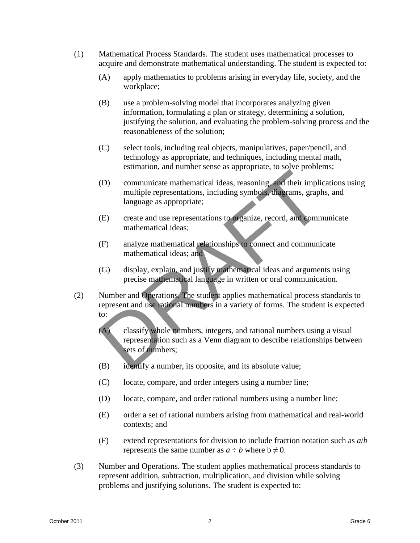- (1) Mathematical Process Standards. The student uses mathematical processes to acquire and demonstrate mathematical understanding. The student is expected to:
	- (A) apply mathematics to problems arising in everyday life, society, and the workplace;
	- (B) use a problem-solving model that incorporates analyzing given information, formulating a plan or strategy, determining a solution, justifying the solution, and evaluating the problem-solving process and the reasonableness of the solution;
	- (C) select tools, including real objects, manipulatives, paper/pencil, and technology as appropriate, and techniques, including mental math, estimation, and number sense as appropriate, to solve problems;
	- (D) communicate mathematical ideas, reasoning, and their implications using multiple representations, including symbols, diagrams, graphs, and language as appropriate;
	- (E) create and use representations to organize, record, and communicate mathematical ideas;
	- (F) analyze mathematical relationships to connect and communicate mathematical ideas; and
	- (G) display, explain, and justify mathematical ideas and arguments using precise mathematical language in written or oral communication.
- (2) Number and Operations. The student applies mathematical process standards to represent and use rational numbers in a variety of forms. The student is expected to:
	- (A) classify whole numbers, integers, and rational numbers using a visual representation such as a Venn diagram to describe relationships between sets of numbers;
	- (B) identify a number, its opposite, and its absolute value;
	- (C) locate, compare, and order integers using a number line;
	- (D) locate, compare, and order rational numbers using a number line;
	- (E) order a set of rational numbers arising from mathematical and real-world contexts; and
	- (F) extend representations for division to include fraction notation such as *a*/*b*  represents the same number as  $a \div b$  where  $b \neq 0$ .
- (3) Number and Operations. The student applies mathematical process standards to represent addition, subtraction, multiplication, and division while solving problems and justifying solutions. The student is expected to: Solution, and interest season applients.<br>
(3) communicate mathematical ideas, reasoning and their implications using<br>
(b) communicate mathematical ideas, reasoning and their implications using<br>
largange as appropriate;<br>
(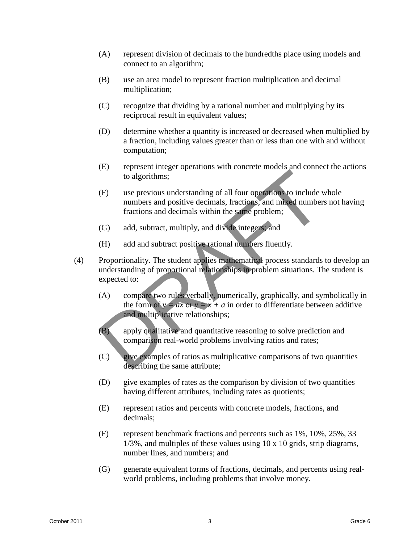- (A) represent division of decimals to the hundredths place using models and connect to an algorithm;
- (B) use an area model to represent fraction multiplication and decimal multiplication;
- (C) recognize that dividing by a rational number and multiplying by its reciprocal result in equivalent values;
- (D) determine whether a quantity is increased or decreased when multiplied by a fraction, including values greater than or less than one with and without computation;
- (E) represent integer operations with concrete models and connect the actions to algorithms;
- (F) use previous understanding of all four operations to include whole numbers and positive decimals, fractions, and mixed numbers not having fractions and decimals within the same problem;
- (G) add, subtract, multiply, and divide integers; and
- (H) add and subtract positive rational numbers fluently.
- (4) Proportionality. The student applies mathematical process standards to develop an understanding of proportional relationships in problem situations. The student is expected to: Considerating the present interest interest and connect une atoms<br>
(b) in a genvious medestanding of all four operation to include whole<br>
minimises and positive decimals, fraction, and minimisers not having<br>
fractions and
	- (A) compare two rules verbally, numerically, graphically, and symbolically in the form of  $y = ax$  or  $y = x + a$  in order to differentiate between additive and multiplicative relationships;
	- (B) apply qualitative and quantitative reasoning to solve prediction and comparison real-world problems involving ratios and rates;
	- (C) give examples of ratios as multiplicative comparisons of two quantities describing the same attribute;
	- (D) give examples of rates as the comparison by division of two quantities having different attributes, including rates as quotients;
	- (E) represent ratios and percents with concrete models, fractions, and decimals;
	- (F) represent benchmark fractions and percents such as 1%, 10%, 25%, 33 1/3%, and multiples of these values using 10 x 10 grids, strip diagrams, number lines, and numbers; and
	- (G) generate equivalent forms of fractions, decimals, and percents using realworld problems, including problems that involve money.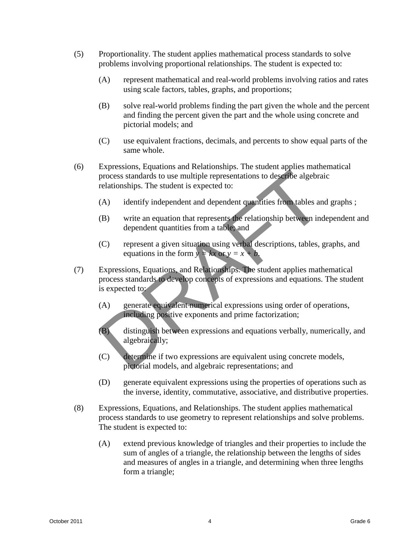- (5) Proportionality. The student applies mathematical process standards to solve problems involving proportional relationships. The student is expected to:
	- (A) represent mathematical and real-world problems involving ratios and rates using scale factors, tables, graphs, and proportions;
	- (B) solve real-world problems finding the part given the whole and the percent and finding the percent given the part and the whole using concrete and pictorial models; and
	- (C) use equivalent fractions, decimals, and percents to show equal parts of the same whole.
- (6) Expressions, Equations and Relationships. The student applies mathematical process standards to use multiple representations to describe algebraic relationships. The student is expected to:
	- (A) identify independent and dependent quantities from tables and graphs ;
	- (B) write an equation that represents the relationship between independent and dependent quantities from a table; and
	- (C) represent a given situation using verbal descriptions, tables, graphs, and equations in the form  $y = kx$  or  $y = x + b$ .
- (7) Expressions, Equations, and Relationships. The student applies mathematical process standards to develop concepts of expressions and equations. The student is expected to:
	- (A) generate equivalent-numerical expressions using order of operations, including positive exponents and prime factorization;
	- (B) distinguish between expressions and equations verbally, numerically, and algebraically;
	- (C) determine if two expressions are equivalent using concrete models, pictorial models, and algebraic representations; and
	- (D) generate equivalent expressions using the properties of operations such as the inverse, identity, commutative, associative, and distributive properties.
- (8) Expressions, Equations, and Relationships. The student applies mathematical process standards to use geometry to represent relationships and solve problems. The student is expected to:
- (A) extend previous knowledge of triangles and their properties to include the sum of angles of a triangle, the relationship between the lengths of sides and measures of angles in a triangle, and determining when three lengths form a triangle; (3) Expressions. Equations and Netationships. The student spheres in an expression of the digebratic relationships. The student is expected to:<br>
(A) identify independent and dependent conducties from lables and graphs ;<br>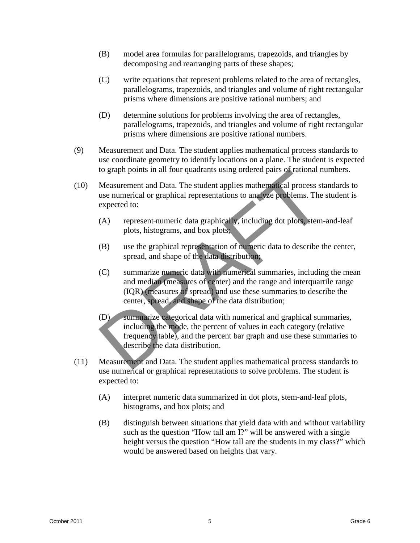- (B) model area formulas for parallelograms, trapezoids, and triangles by decomposing and rearranging parts of these shapes;
- (C) write equations that represent problems related to the area of rectangles, parallelograms, trapezoids, and triangles and volume of right rectangular prisms where dimensions are positive rational numbers; and
- (D) determine solutions for problems involving the area of rectangles, parallelograms, trapezoids, and triangles and volume of right rectangular prisms where dimensions are positive rational numbers.
- (9) Measurement and Data. The student applies mathematical process standards to use coordinate geometry to identify locations on a plane. The student is expected to graph points in all four quadrants using ordered pairs of rational numbers.
- (10) Measurement and Data. The student applies mathematical process standards to use numerical or graphical representations to analyze problems. The student is expected to:
	- (A) represent numeric data graphically, including dot plots, stem-and-leaf plots, histograms, and box plots;
	- (B) use the graphical representation of numeric data to describe the center, spread, and shape of the data distribution;
	- (C) summarize numeric data with numerical summaries, including the mean and median (measures of center) and the range and interquartile range (IQR) (measures of spread) and use these summaries to describe the center, spread, and shape of the data distribution;
	- (D) summarize categorical data with numerical and graphical summaries, including the mode, the percent of values in each category (relative frequency table), and the percent bar graph and use these summaries to describe the data distribution.
- (11) Measurement and Data. The student applies mathematical process standards to use numerical or graphical representations to solve problems. The student is expected to:
	- (A) interpret numeric data summarized in dot plots, stem-and-leaf plots, histograms, and box plots; and
- (B) distinguish between situations that yield data with and without variability such as the question "How tall am I?" will be answered with a single height versus the question "How tall are the students in my class?" which would be answered based on heights that vary. to graph points in all four quadrants using ordered pairs of rational numbers.<br>
(10) Measurement and Data. The student applies mathematics in the contraction of much and the active of the student is expected to:<br>
(A) repr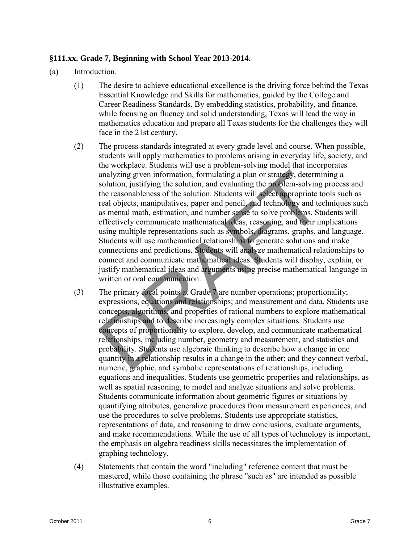## **§111.xx. Grade 7, Beginning with School Year 2013-2014.**

- (a) Introduction.
	- (1) The desire to achieve educational excellence is the driving force behind the Texas Essential Knowledge and Skills for mathematics, guided by the College and Career Readiness Standards. By embedding statistics, probability, and finance, while focusing on fluency and solid understanding, Texas will lead the way in mathematics education and prepare all Texas students for the challenges they will face in the 21st century.
	- (2) The process standards integrated at every grade level and course. When possible, students will apply mathematics to problems arising in everyday life, society, and the workplace. Students will use a problem-solving model that incorporates analyzing given information, formulating a plan or strategy, determining a solution, justifying the solution, and evaluating the problem-solving process and the reasonableness of the solution. Students will select appropriate tools such as real objects, manipulatives, paper and pencil, and technology and techniques such as mental math, estimation, and number sense to solve problems. Students will effectively communicate mathematical ideas, reasoning, and their implications using multiple representations such as symbols, diagrams, graphs, and language. Students will use mathematical relationships to generate solutions and make connections and predictions. Students will analyze mathematical relationships to connect and communicate mathematical ideas. Students will display, explain, or justify mathematical ideas and arguments using precise mathematical language in written or oral communication.
- (3) The primary focal points at Grade 7 are number operations; proportionality; expressions, equations and relationships; and measurement and data. Students use concepts, algorithms, and properties of rational numbers to explore mathematical relationships and to describe increasingly complex situations. Students use concepts of proportionality to explore, develop, and communicate mathematical relationships, including number, geometry and measurement, and statistics and probability. Students use algebraic thinking to describe how a change in one quantity in a relationship results in a change in the other; and they connect verbal, numeric, graphic, and symbolic representations of relationships, including equations and inequalities. Students use geometric properties and relationships, as well as spatial reasoning, to model and analyze situations and solve problems. Students communicate information about geometric figures or situations by quantifying attributes, generalize procedures from measurement experiences, and use the procedures to solve problems. Students use appropriate statistics, representations of data, and reasoning to draw conclusions, evaluate arguments, and make recommendations. While the use of all types of technology is important, the emphasis on algebra readiness skills necessitates the implementation of graphing technology. analyzing given information. Compulsting a plan os strack, determining a<br>malyzing given information. Compulsting a plan os strack, determining a<br>solution, used/inform the solution, solution and evaluating the grade-insolvi
	- (4) Statements that contain the word "including" reference content that must be mastered, while those containing the phrase "such as" are intended as possible illustrative examples.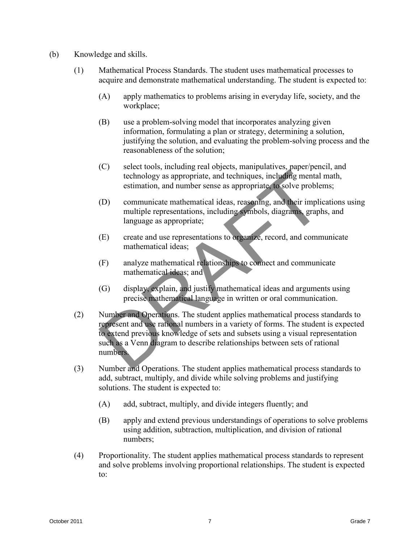- (b) Knowledge and skills.
	- (1) Mathematical Process Standards. The student uses mathematical processes to acquire and demonstrate mathematical understanding. The student is expected to:
		- (A) apply mathematics to problems arising in everyday life, society, and the workplace;
		- (B) use a problem-solving model that incorporates analyzing given information, formulating a plan or strategy, determining a solution, justifying the solution, and evaluating the problem-solving process and the reasonableness of the solution;
		- (C) select tools, including real objects, manipulatives, paper/pencil, and technology as appropriate, and techniques, including mental math, estimation, and number sense as appropriate, to solve problems;
		- (D) communicate mathematical ideas, reasoning, and their implications using multiple representations, including symbols, diagrams, graphs, and language as appropriate;
		- (E) create and use representations to organize, record, and communicate mathematical ideas;
		- (F) analyze mathematical relationships to connect and communicate mathematical ideas; and
		- (G) display, explain, and justify mathematical ideas and arguments using precise mathematical language in written or oral communication.
- (2) Number and Operations. The student applies mathematical process standards to represent and use rational numbers in a variety of forms. The student is expected to extend previous knowledge of sets and subsets using a visual representation such as a Venn diagram to describe relationships between sets of rational numbers. (c) stacknotes, including teat opticals, simple and dechingues, including mental rank,<br>stationally as appropriate, and dechingues, including mental rank,<br>stationally as appropriate, and dechingues, including mental rank,<br>
	- (3) Number and Operations. The student applies mathematical process standards to add, subtract, multiply, and divide while solving problems and justifying solutions. The student is expected to:
		- (A) add, subtract, multiply, and divide integers fluently; and
		- (B) apply and extend previous understandings of operations to solve problems using addition, subtraction, multiplication, and division of rational numbers;
	- (4) Proportionality. The student applies mathematical process standards to represent and solve problems involving proportional relationships. The student is expected to: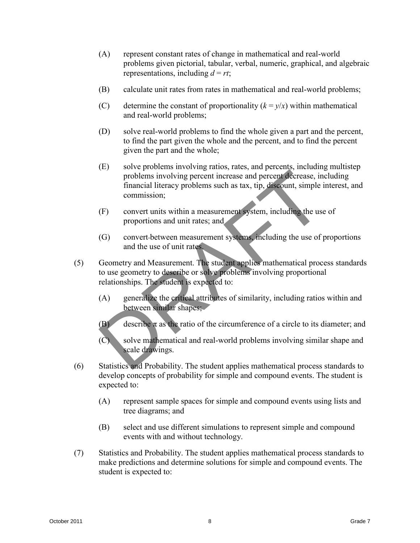- (A) represent constant rates of change in mathematical and real-world problems given pictorial, tabular, verbal, numeric, graphical, and algebraic representations, including  $d = rt$ ;
- (B) calculate unit rates from rates in mathematical and real-world problems;
- (C) determine the constant of proportionality  $(k = y/x)$  within mathematical and real-world problems;
- (D) solve real-world problems to find the whole given a part and the percent, to find the part given the whole and the percent, and to find the percent given the part and the whole;
- (E) solve problems involving ratios, rates, and percents, including multistep problems involving percent increase and percent decrease, including financial literacy problems such as tax, tip, discount, simple interest, and commission; (b) some production in the proportion in the production simulation in the product of the state in the state of the state of the state of the state of the state of the state of the state of the state of the state of the st
	- (F) convert units within a measurement system, including the use of proportions and unit rates; and
	- (G) convert between measurement systems, including the use of proportions and the use of unit rates.
	- (5) Geometry and Measurement. The student applies mathematical process standards to use geometry to describe or solve problems involving proportional relationships. The student is expected to:
		- (A) generalize the critical attributes of similarity, including ratios within and between similar shapes;
		- (B) describe  $\pi$  as the ratio of the circumference of a circle to its diameter; and
		- (C) solve mathematical and real-world problems involving similar shape and scale drawings.
	- (6) Statistics and Probability. The student applies mathematical process standards to develop concepts of probability for simple and compound events. The student is expected to:
		- (A) represent sample spaces for simple and compound events using lists and tree diagrams; and
		- (B) select and use different simulations to represent simple and compound events with and without technology.
	- (7) Statistics and Probability. The student applies mathematical process standards to make predictions and determine solutions for simple and compound events. The student is expected to: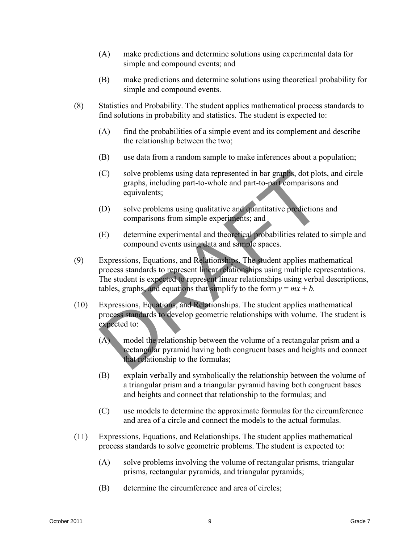- (A) make predictions and determine solutions using experimental data for simple and compound events; and
- (B) make predictions and determine solutions using theoretical probability for simple and compound events.
- (8) Statistics and Probability. The student applies mathematical process standards to find solutions in probability and statistics. The student is expected to:
	- (A) find the probabilities of a simple event and its complement and describe the relationship between the two;
	- (B) use data from a random sample to make inferences about a population;
	- (C) solve problems using data represented in bar graphs, dot plots, and circle graphs, including part-to-whole and part-to-part comparisons and equivalents;
	- (D) solve problems using qualitative and quantitative predictions and comparisons from simple experiments; and
	- (E) determine experimental and theoretical probabilities related to simple and compound events using data and sample spaces.
- (9) Expressions, Equations, and Relationships. The student applies mathematical process standards to represent linear relationships using multiple representations. The student is expected to represent linear relationships using verbal descriptions, tables, graphs, and equations that simplify to the form  $y = mx + b$ . C) solve problems using data represented in bar graphs, dot plots, and circle<br>graphs, including part-to-whole and part-to-max comparisons and<br>quivalently,<br>conventions are problems using data represented quantitative pred
	- (10) Expressions, Equations, and Relationships. The student applies mathematical process standards to develop geometric relationships with volume. The student is expected to:
		- (A) model the relationship between the volume of a rectangular prism and a rectangular pyramid having both congruent bases and heights and connect that relationship to the formulas;
		- (B) explain verbally and symbolically the relationship between the volume of a triangular prism and a triangular pyramid having both congruent bases and heights and connect that relationship to the formulas; and
		- (C) use models to determine the approximate formulas for the circumference and area of a circle and connect the models to the actual formulas.
	- (11) Expressions, Equations, and Relationships. The student applies mathematical process standards to solve geometric problems. The student is expected to:
		- (A) solve problems involving the volume of rectangular prisms, triangular prisms, rectangular pyramids, and triangular pyramids;
		- (B) determine the circumference and area of circles;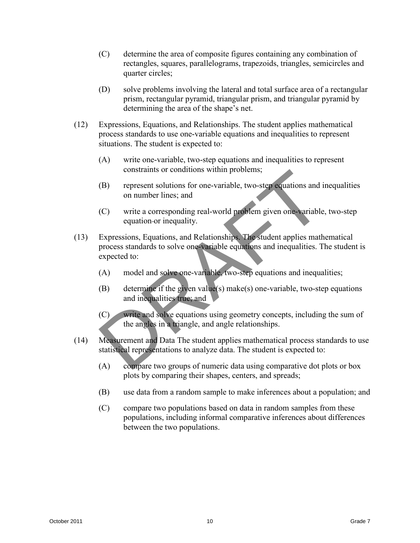- (C) determine the area of composite figures containing any combination of rectangles, squares, parallelograms, trapezoids, triangles, semicircles and quarter circles;
- (D) solve problems involving the lateral and total surface area of a rectangular prism, rectangular pyramid, triangular prism, and triangular pyramid by determining the area of the shape's net.
- (12) Expressions, Equations, and Relationships. The student applies mathematical process standards to use one-variable equations and inequalities to represent situations. The student is expected to:
	- (A) write one-variable, two-step equations and inequalities to represent constraints or conditions within problems;
	- (B) represent solutions for one-variable, two-step equations and inequalities on number lines; and
	- (C) write a corresponding real-world problem given one-variable, two-step equation or inequality.
- (13) Expressions, Equations, and Relationships. The student applies mathematical process standards to solve one-variable equations and inequalities. The student is expected to: constraints or conditions within problems;<br>
(B) represent solutions for one-variable, two-step exactions and inequalities<br>
on number lines; and<br>
(C) write a corresponding real-world problem given one-variable, two-step<br>
q
	- (A) model and solve one-variable, two-step equations and inequalities;
	- (B) determine if the given value(s) make(s) one-variable, two-step equations and inequalities true; and
	- (C) write and solve equations using geometry concepts, including the sum of the angles in a triangle, and angle relationships.
	- (14) Measurement and Data The student applies mathematical process standards to use statistical representations to analyze data. The student is expected to:
		- (A) compare two groups of numeric data using comparative dot plots or box plots by comparing their shapes, centers, and spreads;
		- (B) use data from a random sample to make inferences about a population; and
		- (C) compare two populations based on data in random samples from these populations, including informal comparative inferences about differences between the two populations.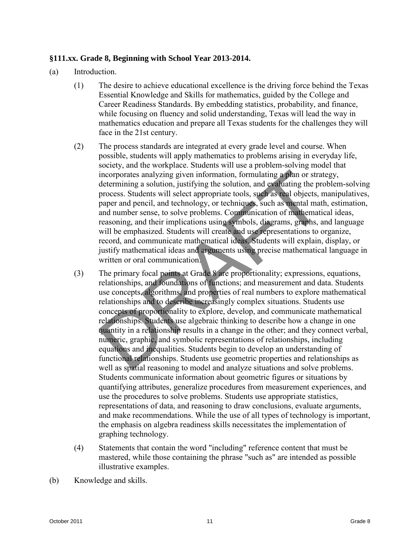## **§111.xx. Grade 8, Beginning with School Year 2013-2014.**

- (a) Introduction.
	- (1) The desire to achieve educational excellence is the driving force behind the Texas Essential Knowledge and Skills for mathematics, guided by the College and Career Readiness Standards. By embedding statistics, probability, and finance, while focusing on fluency and solid understanding, Texas will lead the way in mathematics education and prepare all Texas students for the challenges they will face in the 21st century.
	- (2) The process standards are integrated at every grade level and course. When possible, students will apply mathematics to problems arising in everyday life, society, and the workplace. Students will use a problem-solving model that incorporates analyzing given information, formulating a plan or strategy, determining a solution, justifying the solution, and evaluating the problem-solving process. Students will select appropriate tools, such as real objects, manipulatives, paper and pencil, and technology, or techniques, such as mental math, estimation, and number sense, to solve problems. Communication of mathematical ideas, reasoning, and their implications using symbols, diagrams, graphs, and language will be emphasized. Students will create and use representations to organize, record, and communicate mathematical ideas. Students will explain, display, or justify mathematical ideas and arguments using precise mathematical language in written or oral communication.
- (3) The primary focal points at Grade 8 are proportionality; expressions, equations, relationships, and foundations of functions; and measurement and data. Students use concepts, algorithms, and properties of real numbers to explore mathematical relationships and to describe increasingly complex situations. Students use concepts of proportionality to explore, develop, and communicate mathematical relationships. Students use algebraic thinking to describe how a change in one quantity in a relationship results in a change in the other; and they connect verbal, numeric, graphic, and symbolic representations of relationships, including equations and inequalities. Students begin to develop an understanding of functional relationships. Students use geometric properties and relationships as well as spatial reasoning to model and analyze situations and solve problems. Students communicate information about geometric figures or situations by quantifying attributes, generalize procedures from measurement experiences, and use the procedures to solve problems. Students use appropriate statistics, representations of data, and reasoning to draw conclusions, evaluate arguments, and make recommendations. While the use of all types of technology is important, the emphasis on algebra readiness skills necessitates the implementation of graphing technology. Exerce, and the distribution, formulating and particular properties analyzing given information, formulating a plan or strategy,<br>determining a solution, justifying the solution, and solution the productives process. Sudde
	- (4) Statements that contain the word "including" reference content that must be mastered, while those containing the phrase "such as" are intended as possible illustrative examples.
- (b) Knowledge and skills.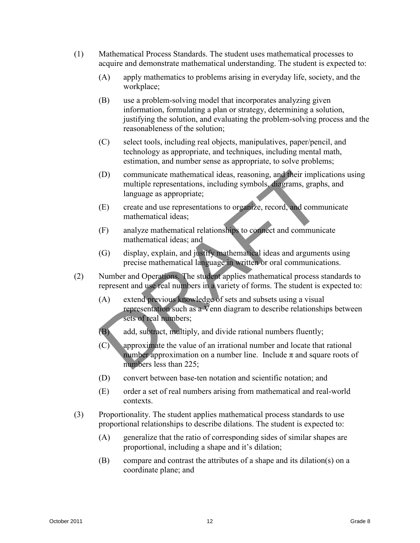- (1) Mathematical Process Standards. The student uses mathematical processes to acquire and demonstrate mathematical understanding. The student is expected to:
	- (A) apply mathematics to problems arising in everyday life, society, and the workplace;
	- (B) use a problem-solving model that incorporates analyzing given information, formulating a plan or strategy, determining a solution, justifying the solution, and evaluating the problem-solving process and the reasonableness of the solution;
	- (C) select tools, including real objects, manipulatives, paper/pencil, and technology as appropriate, and techniques, including mental math, estimation, and number sense as appropriate, to solve problems;
- (D) communicate mathematical ideas, reasoning, and their implications using multiple representations, including symbols, diagrams, graphs, and language as appropriate; (D) communicate mathematical ideas, reasoning, and their implications using<br>nulltiple representations, including symbols, dia grams, graphs, and<br>nulltiple representations is organize, record, and communicate<br>the diamental
	- (E) create and use representations to organize, record, and communicate mathematical ideas;
	- (F) analyze mathematical relationships to connect and communicate mathematical ideas; and
	- (G) display, explain, and justify mathematical ideas and arguments using precise mathematical language in written or oral communications.
	- (2) Number and Operations. The student applies mathematical process standards to represent and use real numbers in a variety of forms. The student is expected to:
		- (A) extend previous knowledge of sets and subsets using a visual representation such as a Venn diagram to describe relationships between sets of real numbers;
		- (B) add, subtract, multiply, and divide rational numbers fluently;
		- (C) approximate the value of an irrational number and locate that rational number approximation on a number line. Include  $\pi$  and square roots of numbers less than 225;
		- (D) convert between base-ten notation and scientific notation; and
		- (E) order a set of real numbers arising from mathematical and real-world contexts.
	- (3) Proportionality. The student applies mathematical process standards to use proportional relationships to describe dilations. The student is expected to:
		- (A) generalize that the ratio of corresponding sides of similar shapes are proportional, including a shape and it's dilation;
		- (B) compare and contrast the attributes of a shape and its dilation(s) on a coordinate plane; and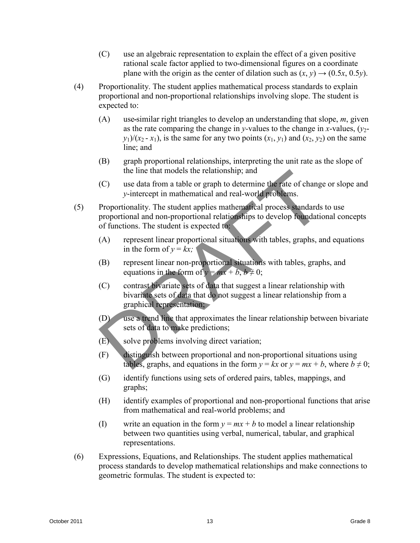- (C) use an algebraic representation to explain the effect of a given positive rational scale factor applied to two-dimensional figures on a coordinate plane with the origin as the center of dilation such as  $(x, y) \rightarrow (0.5x, 0.5y)$ .
- (4) Proportionality. The student applies mathematical process standards to explain proportional and non-proportional relationships involving slope. The student is expected to:
	- (A) use similar right triangles to develop an understanding that slope, *m*, given as the rate comparing the change in *y*-values to the change in *x*-values,  $(y_2$  $y_1$ / $(x_2 - x_1)$ , is the same for any two points  $(x_1, y_1)$  and  $(x_2, y_2)$  on the same line; and
	- (B) graph proportional relationships, interpreting the unit rate as the slope of the line that models the relationship; and
	- (C) use data from a table or graph to determine the rate of change or slope and *y*-intercept in mathematical and real-world problems.
- (5) Proportionality. The student applies mathematical process standards to use proportional and non-proportional relationships to develop foundational concepts of functions. The student is expected to: (c) used and nable the relationship; and<br>
(c) used antiom at table or graph to determine after aix of change or slope and<br>
y-intercept in mathematical and real-would problems.<br>
(5) Proportional and non-proportional relati
	- (A) represent linear proportional situations with tables, graphs, and equations in the form of  $y = kx$ ;
	- (B) represent linear non-proportional situations with tables, graphs, and equations in the form of  $y = mx + b$ ,  $b \ne 0$ ;
	- (C) contrast bivariate sets of data that suggest a linear relationship with bivariate sets of data that do not suggest a linear relationship from a graphical representation;
	- (D) use a trend line that approximates the linear relationship between bivariate sets of data to make predictions;
	- (E) solve problems involving direct variation;
	- (F) distinguish between proportional and non-proportional situations using tables, graphs, and equations in the form  $y = kx$  or  $y = mx + b$ , where  $b \neq 0$ ;
	- (G) identify functions using sets of ordered pairs, tables, mappings, and graphs;
	- (H) identify examples of proportional and non-proportional functions that arise from mathematical and real-world problems; and
	- (I) write an equation in the form  $y = mx + b$  to model a linear relationship between two quantities using verbal, numerical, tabular, and graphical representations.
	- (6) Expressions, Equations, and Relationships. The student applies mathematical process standards to develop mathematical relationships and make connections to geometric formulas. The student is expected to: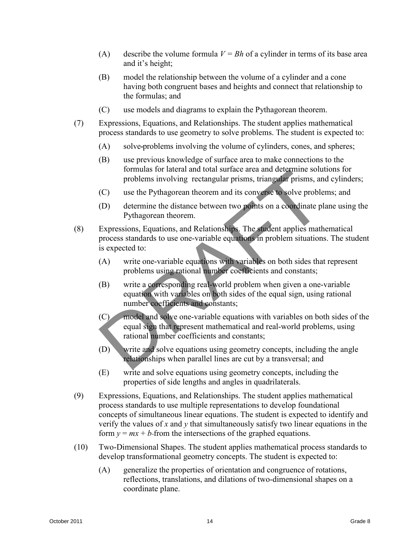- (A) describe the volume formula  $V = Bh$  of a cylinder in terms of its base area and it's height;
- (B) model the relationship between the volume of a cylinder and a cone having both congruent bases and heights and connect that relationship to the formulas; and
- (C) use models and diagrams to explain the Pythagorean theorem.
- (7) Expressions, Equations, and Relationships. The student applies mathematical process standards to use geometry to solve problems. The student is expected to:
	- (A) solve problems involving the volume of cylinders, cones, and spheres;
	- (B) use previous knowledge of surface area to make connections to the formulas for lateral and total surface area and determine solutions for problems involving rectangular prisms, triangular prisms, and cylinders;
	- (C) use the Pythagorean theorem and its converse to solve problems; and
	- (D) determine the distance between two points on a coordinate plane using the Pythagorean theorem.
- (8) Expressions, Equations, and Relationships. The student applies mathematical process standards to use one-variable equations in problem situations. The student is expected to:
	- (A) write one-variable equations with variables on both sides that represent problems using rational number coefficients and constants;
	- (B) write a corresponding real-world problem when given a one-variable equation with variables on both sides of the equal sign, using rational number coefficients and constants;
	- (C) model and solve one-variable equations with variables on both sides of the equal sign that represent mathematical and real-world problems, using rational number coefficients and constants;
	- (D) write and solve equations using geometry concepts, including the angle relationships when parallel lines are cut by a transversal; and
	- (E) write and solve equations using geometry concepts, including the properties of side lengths and angles in quadrilaterals.
- (9) Expressions, Equations, and Relationships. The student applies mathematical process standards to use multiple representations to develop foundational concepts of simultaneous linear equations. The student is expected to identify and verify the values of *x* and *y* that simultaneously satisfy two linear equations in the form  $y = mx + b$ -from the intersections of the graphed equations. Formulas for lateral during the strategy areas and elations in the strategy and the strategy elations of the properties.<br>
(C) use the Pythagorean theorem and its converse boothe problems; and cylinders;<br>
(C) use the Pythag
	- (10) Two-Dimensional Shapes. The student applies mathematical process standards to develop transformational geometry concepts. The student is expected to:
		- (A) generalize the properties of orientation and congruence of rotations, reflections, translations, and dilations of two-dimensional shapes on a coordinate plane.